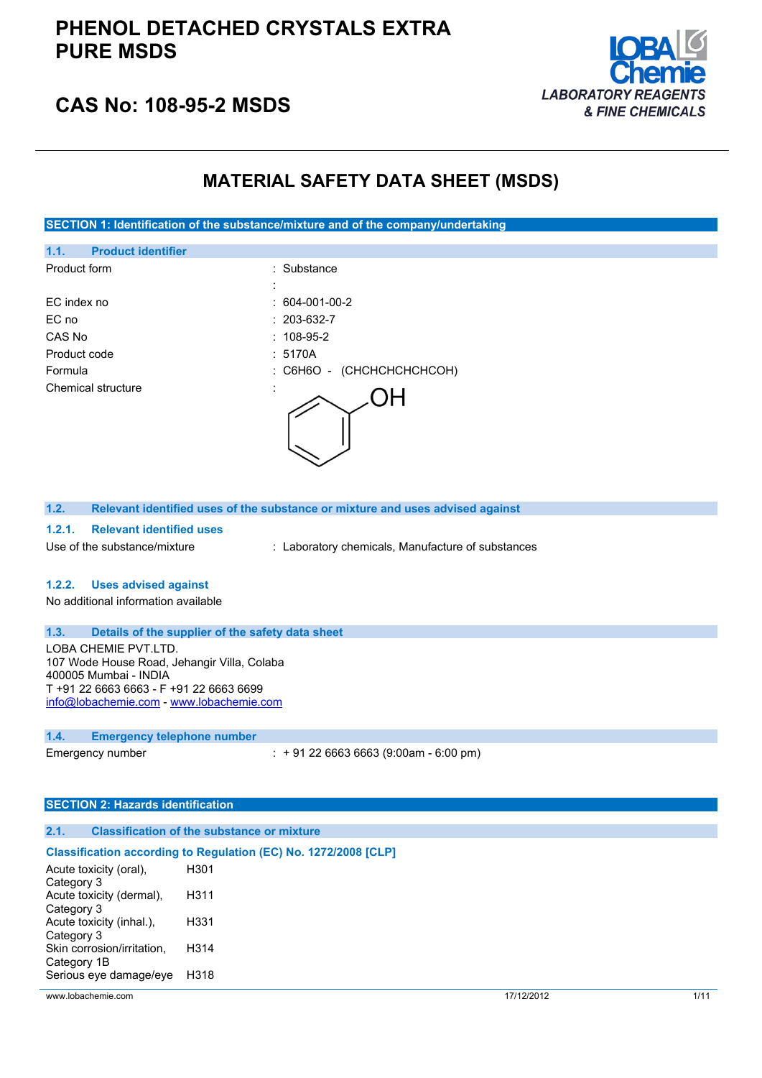

## **CAS No: 108-95-2 MSDS**

## **MATERIAL SAFETY DATA SHEET (MSDS)**

**SECTION 1: Identification of the substance/mixture and of the company/undertaking**

| <b>Product identifier</b><br>1.1. |                                         |
|-----------------------------------|-----------------------------------------|
| Product form                      | : Substance                             |
|                                   | $\blacksquare$                          |
| EC index no                       | $: 604-001-00-2$                        |
| EC no                             | $: 203-632-7$                           |
| CAS No                            | $: 108-95-2$                            |
| Product code                      | : 5170A                                 |
| Formula                           | (CHCHCHCHCHCOH)<br>$\therefore$ C6H6O - |
| Chemical structure                | $\cdot$                                 |

| 1.2. | Relevant identified uses of the substance or mixture and uses advised against |
|------|-------------------------------------------------------------------------------|
|      |                                                                               |

### **1.2.1. Relevant identified uses**

Use of the substance/mixture : Laboratory chemicals, Manufacture of substances

### **1.2.2. Uses advised against**

No additional information available

### **1.3. Details of the supplier of the safety data sheet**

LOBA CHEMIE PVT.LTD. 107 Wode House Road, Jehangir Villa, Colaba 400005 Mumbai - INDIA T +91 22 6663 6663 - F +91 22 6663 6699 [info@lobachemie.com](mailto:info@lobachemie.com) - <www.lobachemie.com>

#### **1.4. Emergency telephone number**

Emergency number : + 91 22 6663 6663 (9:00am - 6:00 pm)

### **SECTION 2: Hazards identification**

### **2.1. Classification of the substance or mixture**

#### **Classification according to Regulation (EC) No. 1272/2008 [CLP]** Acute toxicity (oral), Category 3 H301 Acute toxicity (dermal), Category 3 H311 Acute toxicity (inhal.), Category 3 H331 Skin corrosion/irritation, Category 1B H314 Serious eye damage/eye H318

www.lobachemie.com 17/12/2012 1/11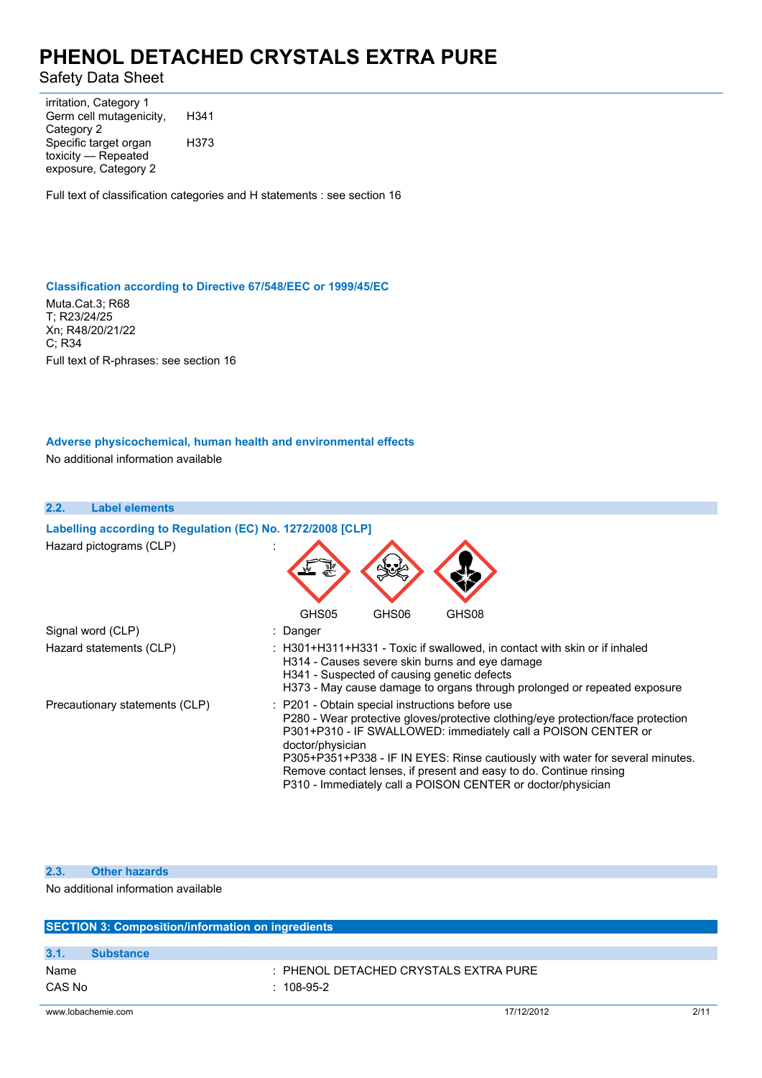Safety Data Sheet

irritation, Category 1 Germ cell mutagenicity, Category 2 H341 Specific target organ toxicity — Repeated exposure, Category 2 H373

Full text of classification categories and H statements : see section 16

### **Classification according to Directive 67/548/EEC or 1999/45/EC**

Muta.Cat.3; R68 T; R23/24/25 Xn; R48/20/21/22 C; R34 Full text of R-phrases: see section 16

## **Adverse physicochemical, human health and environmental effects**

No additional information available

| 2.2.<br><b>Label elements</b>                              |                                                                                                                                                                                                                                                                                                                                                                                                                                                |
|------------------------------------------------------------|------------------------------------------------------------------------------------------------------------------------------------------------------------------------------------------------------------------------------------------------------------------------------------------------------------------------------------------------------------------------------------------------------------------------------------------------|
| Labelling according to Regulation (EC) No. 1272/2008 [CLP] |                                                                                                                                                                                                                                                                                                                                                                                                                                                |
| Hazard pictograms (CLP)                                    |                                                                                                                                                                                                                                                                                                                                                                                                                                                |
|                                                            | GHS05<br>GHS06<br>GHS08                                                                                                                                                                                                                                                                                                                                                                                                                        |
| Signal word (CLP)                                          | : Danger                                                                                                                                                                                                                                                                                                                                                                                                                                       |
| Hazard statements (CLP)                                    | : H301+H311+H331 - Toxic if swallowed, in contact with skin or if inhaled<br>H314 - Causes severe skin burns and eye damage<br>H341 - Suspected of causing genetic defects<br>H373 - May cause damage to organs through prolonged or repeated exposure                                                                                                                                                                                         |
| Precautionary statements (CLP)                             | : P201 - Obtain special instructions before use<br>P280 - Wear protective gloves/protective clothing/eye protection/face protection<br>P301+P310 - IF SWALLOWED: immediately call a POISON CENTER or<br>doctor/physician<br>P305+P351+P338 - IF IN EYES: Rinse cautiously with water for several minutes.<br>Remove contact lenses, if present and easy to do. Continue rinsing<br>P310 - Immediately call a POISON CENTER or doctor/physician |

### **2.3. Other hazards**

No additional information available

|                          | <b>SECTION 3: Composition/information on ingredients</b> |      |  |  |
|--------------------------|----------------------------------------------------------|------|--|--|
|                          |                                                          |      |  |  |
| 3.1.<br><b>Substance</b> |                                                          |      |  |  |
| Name                     | : PHENOL DETACHED CRYSTALS EXTRA PURE                    |      |  |  |
| CAS No                   | $: 108-95-2$                                             |      |  |  |
| www.lobachemie.com       | 17/12/2012                                               | 2/11 |  |  |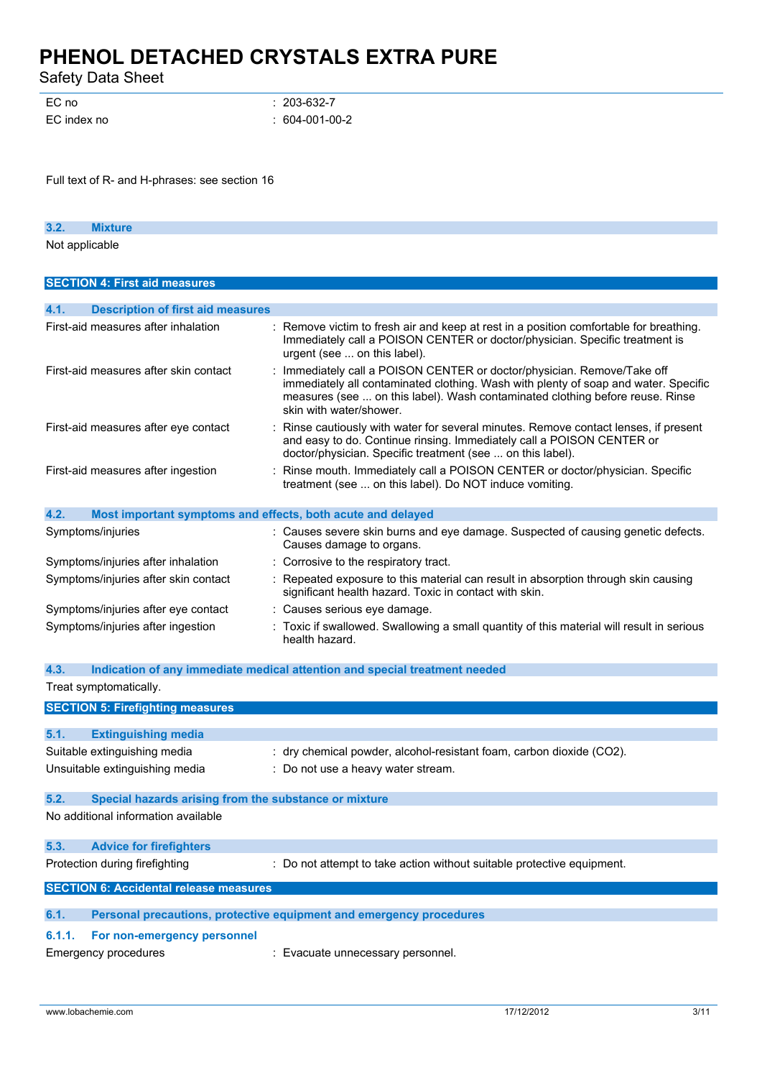Safety Data Sheet

| EC no       | $: 203-632-7$    |
|-------------|------------------|
| EC index no | $: 604-001-00-2$ |

Full text of R- and H-phrases: see section 16

| 3.2. | <b>Mixture</b> |  |
|------|----------------|--|
|      | Not applicable |  |

| <b>SECTION 4: First aid measures</b>                                |                                                                                                                                                                                                                                                                          |
|---------------------------------------------------------------------|--------------------------------------------------------------------------------------------------------------------------------------------------------------------------------------------------------------------------------------------------------------------------|
|                                                                     |                                                                                                                                                                                                                                                                          |
| 4.1.<br><b>Description of first aid measures</b>                    |                                                                                                                                                                                                                                                                          |
| First-aid measures after inhalation                                 | : Remove victim to fresh air and keep at rest in a position comfortable for breathing.<br>Immediately call a POISON CENTER or doctor/physician. Specific treatment is<br>urgent (see  on this label).                                                                    |
| First-aid measures after skin contact                               | Immediately call a POISON CENTER or doctor/physician. Remove/Take off<br>immediately all contaminated clothing. Wash with plenty of soap and water. Specific<br>measures (see  on this label). Wash contaminated clothing before reuse. Rinse<br>skin with water/shower. |
| First-aid measures after eye contact                                | : Rinse cautiously with water for several minutes. Remove contact lenses, if present<br>and easy to do. Continue rinsing. Immediately call a POISON CENTER or<br>doctor/physician. Specific treatment (see  on this label).                                              |
| First-aid measures after ingestion                                  | Rinse mouth. Immediately call a POISON CENTER or doctor/physician. Specific<br>treatment (see  on this label). Do NOT induce vomiting.                                                                                                                                   |
| 4.2.<br>Most important symptoms and effects, both acute and delayed |                                                                                                                                                                                                                                                                          |
| Symptoms/injuries                                                   | : Causes severe skin burns and eye damage. Suspected of causing genetic defects.<br>Causes damage to organs.                                                                                                                                                             |
| Symptoms/injuries after inhalation                                  | : Corrosive to the respiratory tract.                                                                                                                                                                                                                                    |
| Symptoms/injuries after skin contact                                | : Repeated exposure to this material can result in absorption through skin causing<br>significant health hazard. Toxic in contact with skin.                                                                                                                             |
| Symptoms/injuries after eye contact                                 | : Causes serious eye damage.                                                                                                                                                                                                                                             |
| Symptoms/injuries after ingestion                                   | : Toxic if swallowed. Swallowing a small quantity of this material will result in serious<br>health hazard.                                                                                                                                                              |

### **4.3. Indication of any immediate medical attention and special treatment needed**

|        | Treat symptomatically.                                |                                                                        |
|--------|-------------------------------------------------------|------------------------------------------------------------------------|
|        | <b>SECTION 5: Firefighting measures</b>               |                                                                        |
| 5.1.   | <b>Extinguishing media</b>                            |                                                                        |
|        | Suitable extinguishing media                          | : dry chemical powder, alcohol-resistant foam, carbon dioxide (CO2).   |
|        | Unsuitable extinguishing media                        | : Do not use a heavy water stream.                                     |
| 5.2.   | Special hazards arising from the substance or mixture |                                                                        |
|        | No additional information available                   |                                                                        |
| 5.3.   | <b>Advice for firefighters</b>                        |                                                                        |
|        | Protection during firefighting                        | : Do not attempt to take action without suitable protective equipment. |
|        | <b>SECTION 6: Accidental release measures</b>         |                                                                        |
| 6.1.   |                                                       | Personal precautions, protective equipment and emergency procedures    |
| 6.1.1. | For non-emergency personnel                           |                                                                        |
|        | Emergency procedures                                  | : Evacuate unnecessary personnel.                                      |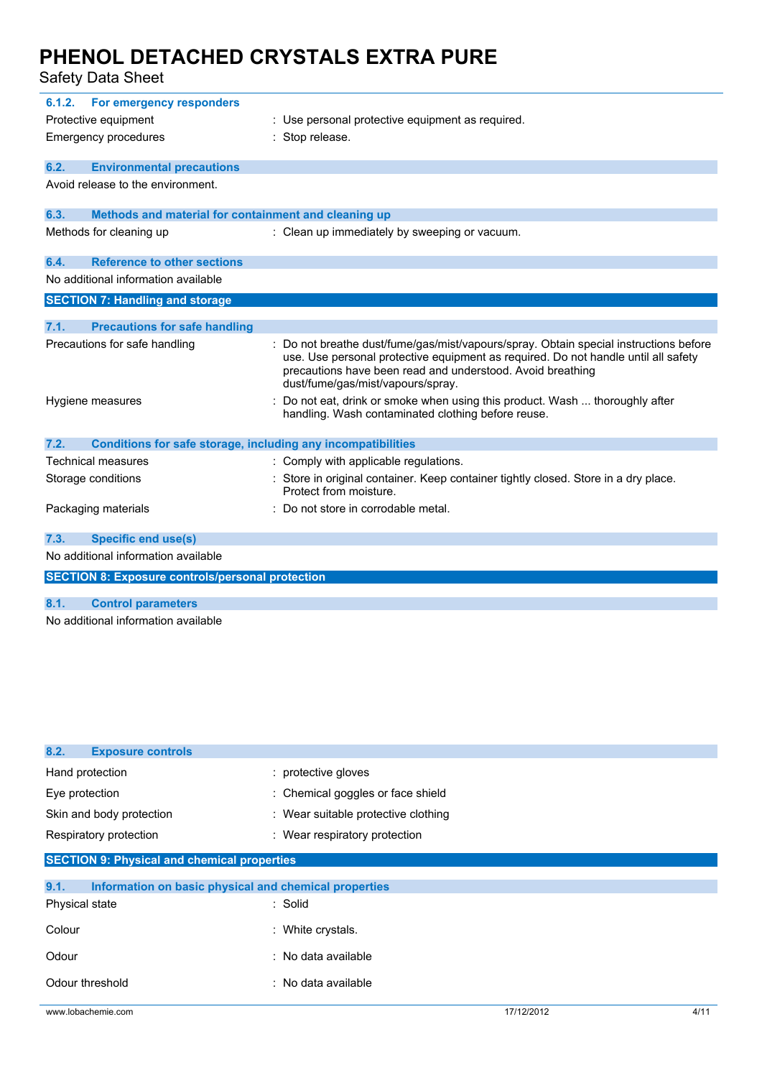| 6.1.2.                        | For emergency responders                                     |                                                                                                                                                                                                                                                                              |
|-------------------------------|--------------------------------------------------------------|------------------------------------------------------------------------------------------------------------------------------------------------------------------------------------------------------------------------------------------------------------------------------|
| Protective equipment          |                                                              | Use personal protective equipment as required.                                                                                                                                                                                                                               |
|                               | Emergency procedures                                         | Stop release.                                                                                                                                                                                                                                                                |
| 6.2.                          | <b>Environmental precautions</b>                             |                                                                                                                                                                                                                                                                              |
|                               | Avoid release to the environment.                            |                                                                                                                                                                                                                                                                              |
| 6.3.                          | Methods and material for containment and cleaning up         |                                                                                                                                                                                                                                                                              |
|                               | Methods for cleaning up                                      | : Clean up immediately by sweeping or vacuum.                                                                                                                                                                                                                                |
| 6.4.                          | <b>Reference to other sections</b>                           |                                                                                                                                                                                                                                                                              |
|                               | No additional information available                          |                                                                                                                                                                                                                                                                              |
|                               | <b>SECTION 7: Handling and storage</b>                       |                                                                                                                                                                                                                                                                              |
| 7.1.                          | <b>Precautions for safe handling</b>                         |                                                                                                                                                                                                                                                                              |
| Precautions for safe handling |                                                              | Do not breathe dust/fume/gas/mist/vapours/spray. Obtain special instructions before<br>use. Use personal protective equipment as required. Do not handle until all safety<br>precautions have been read and understood. Avoid breathing<br>dust/fume/gas/mist/vapours/spray. |
|                               | Hygiene measures                                             | Do not eat, drink or smoke when using this product. Wash  thoroughly after<br>handling. Wash contaminated clothing before reuse.                                                                                                                                             |
| 7.2.                          | Conditions for safe storage, including any incompatibilities |                                                                                                                                                                                                                                                                              |
|                               | <b>Technical measures</b>                                    | : Comply with applicable regulations.                                                                                                                                                                                                                                        |
|                               | Storage conditions                                           | Store in original container. Keep container tightly closed. Store in a dry place.<br>Protect from moisture.                                                                                                                                                                  |
|                               | Packaging materials                                          | Do not store in corrodable metal.                                                                                                                                                                                                                                            |
| 7.3.                          | <b>Specific end use(s)</b>                                   |                                                                                                                                                                                                                                                                              |
|                               | No additional information available                          |                                                                                                                                                                                                                                                                              |
|                               | <b>SECTION 8: Exposure controls/personal protection</b>      |                                                                                                                                                                                                                                                                              |
| 8.1.                          | <b>Control parameters</b>                                    |                                                                                                                                                                                                                                                                              |
|                               | No additional information available                          |                                                                                                                                                                                                                                                                              |

| 8.2.<br><b>Exposure controls</b>                              |                                     |            |      |
|---------------------------------------------------------------|-------------------------------------|------------|------|
| Hand protection                                               | : protective gloves                 |            |      |
| Eye protection                                                | : Chemical goggles or face shield   |            |      |
| Skin and body protection                                      | : Wear suitable protective clothing |            |      |
| Respiratory protection                                        | : Wear respiratory protection       |            |      |
| <b>SECTION 9: Physical and chemical properties</b>            |                                     |            |      |
| 9.1.<br>Information on basic physical and chemical properties |                                     |            |      |
| Physical state                                                | : Solid                             |            |      |
| Colour                                                        | : White crystals.                   |            |      |
| Odour                                                         | : No data available                 |            |      |
| Odour threshold                                               | : No data available                 |            |      |
| www.lobachemie.com                                            |                                     | 17/12/2012 | 4/11 |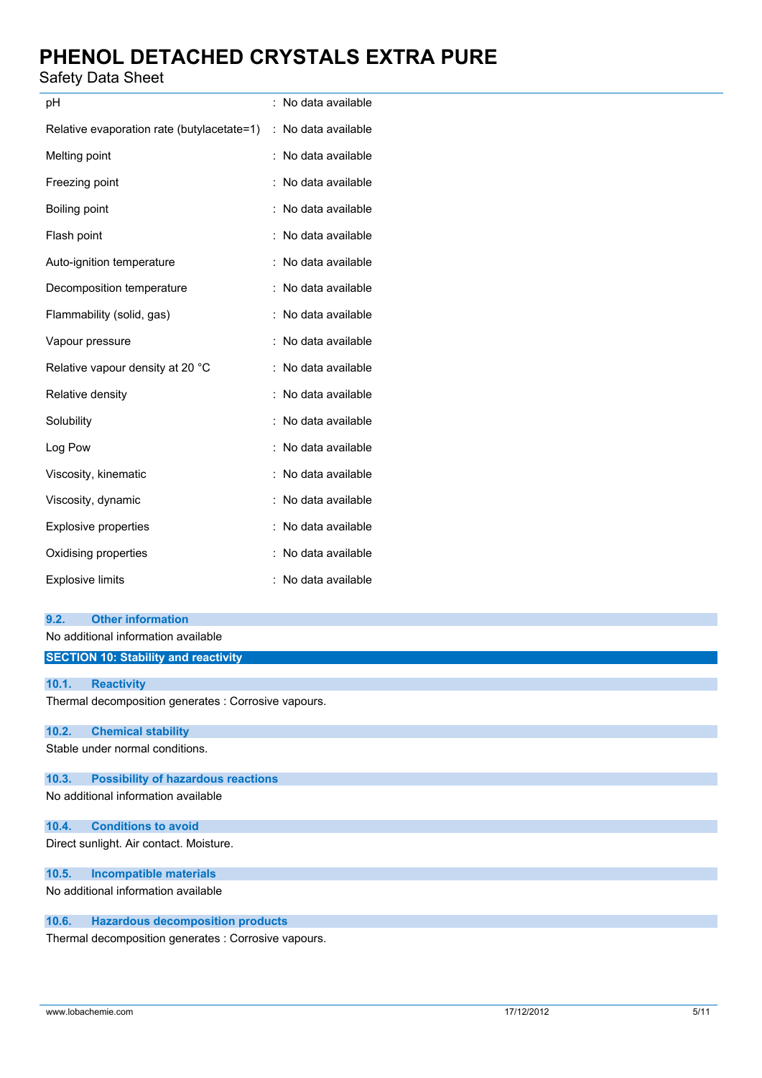## Safety Data Sheet

| рH                                         | No data available       |
|--------------------------------------------|-------------------------|
| Relative evaporation rate (butylacetate=1) | No data available<br>÷. |
| Melting point                              | No data available       |
| Freezing point                             | No data available       |
| Boiling point                              | No data available       |
| Flash point                                | : No data available     |
| Auto-ignition temperature                  | No data available       |
| Decomposition temperature                  | No data available       |
| Flammability (solid, gas)                  | No data available       |
| Vapour pressure                            | No data available       |
| Relative vapour density at 20 °C           | No data available       |
| Relative density                           | No data available       |
| Solubility                                 | No data available       |
| Log Pow                                    | No data available       |
| Viscosity, kinematic                       | No data available       |
| Viscosity, dynamic                         | No data available       |
| <b>Explosive properties</b>                | No data available       |
| Oxidising properties                       | No data available       |
| <b>Explosive limits</b>                    | No data available       |

|       | No additional information available                  |
|-------|------------------------------------------------------|
|       | <b>SECTION 10: Stability and reactivity</b>          |
|       |                                                      |
| 10.1. | <b>Reactivity</b>                                    |
|       | Thermal decomposition generates : Corrosive vapours. |
| 10.2. | <b>Chemical stability</b>                            |
|       | Stable under normal conditions.                      |
| 10.3. | <b>Possibility of hazardous reactions</b>            |
|       | No additional information available                  |
| 10.4. | <b>Conditions to avoid</b>                           |
|       | Direct sunlight. Air contact. Moisture.              |
| 10.5. | <b>Incompatible materials</b>                        |
|       | No additional information available                  |

## **10.6. Hazardous decomposition products**

Thermal decomposition generates : Corrosive vapours.

**9.2. Other information**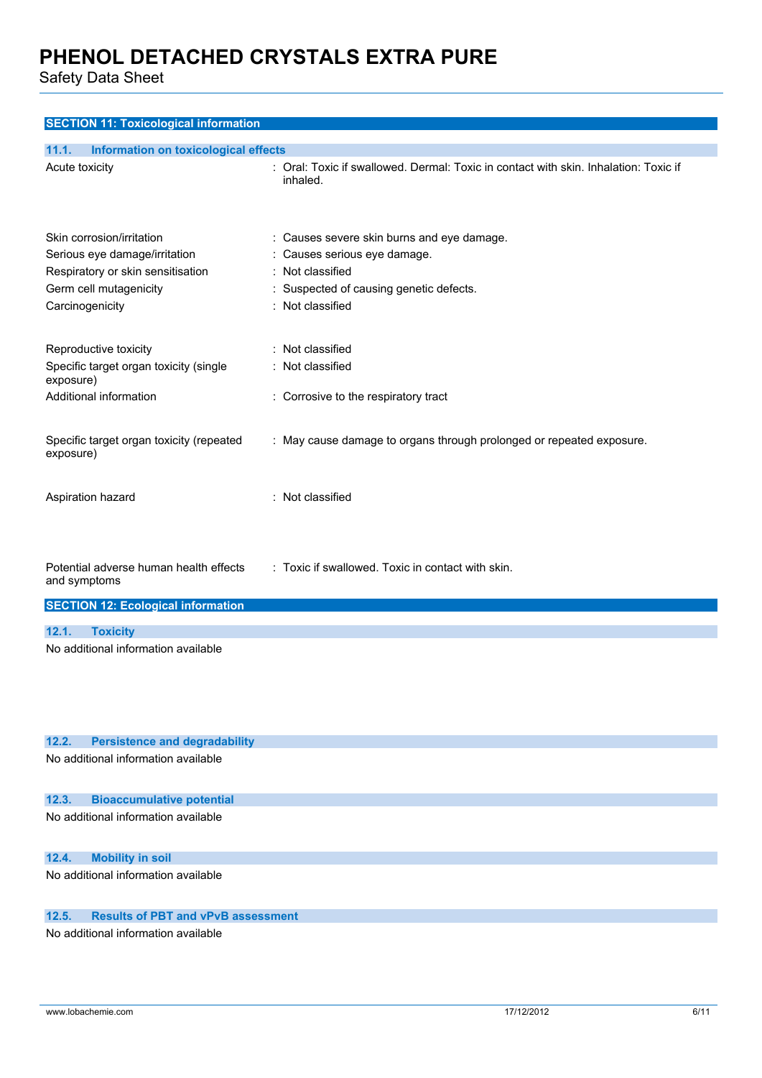Safety Data Sheet

| <b>Information on toxicological effects</b><br>11.1.  |                                                                                                  |
|-------------------------------------------------------|--------------------------------------------------------------------------------------------------|
| Acute toxicity                                        | : Oral: Toxic if swallowed. Dermal: Toxic in contact with skin. Inhalation: Toxic if<br>inhaled. |
| Skin corrosion/irritation                             | : Causes severe skin burns and eye damage.                                                       |
| Serious eye damage/irritation                         | Causes serious eye damage.                                                                       |
| Respiratory or skin sensitisation                     | Not classified                                                                                   |
| Germ cell mutagenicity                                | Suspected of causing genetic defects.                                                            |
| Carcinogenicity                                       | : Not classified                                                                                 |
| Reproductive toxicity                                 | Not classified                                                                                   |
| Specific target organ toxicity (single<br>exposure)   | Not classified                                                                                   |
| Additional information                                | : Corrosive to the respiratory tract                                                             |
| Specific target organ toxicity (repeated<br>exposure) | : May cause damage to organs through prolonged or repeated exposure.                             |
| Aspiration hazard                                     | : Not classified                                                                                 |
| Potential adverse human health effects                | : Toxic if swallowed. Toxic in contact with skin.                                                |
| and symptoms                                          |                                                                                                  |
| <b>SECTION 12: Ecological information</b>             |                                                                                                  |
| <b>Toxicity</b><br>12.1.                              |                                                                                                  |
| No additional information available                   |                                                                                                  |
|                                                       |                                                                                                  |
|                                                       |                                                                                                  |
| 12.2.<br><b>Persistence and degradability</b>         |                                                                                                  |

No additional information available

### **12.3. Bioaccumulative potential**

No additional information available

### **12.4. Mobility in soil**

No additional information available

## **12.5. Results of PBT and vPvB assessment**

No additional information available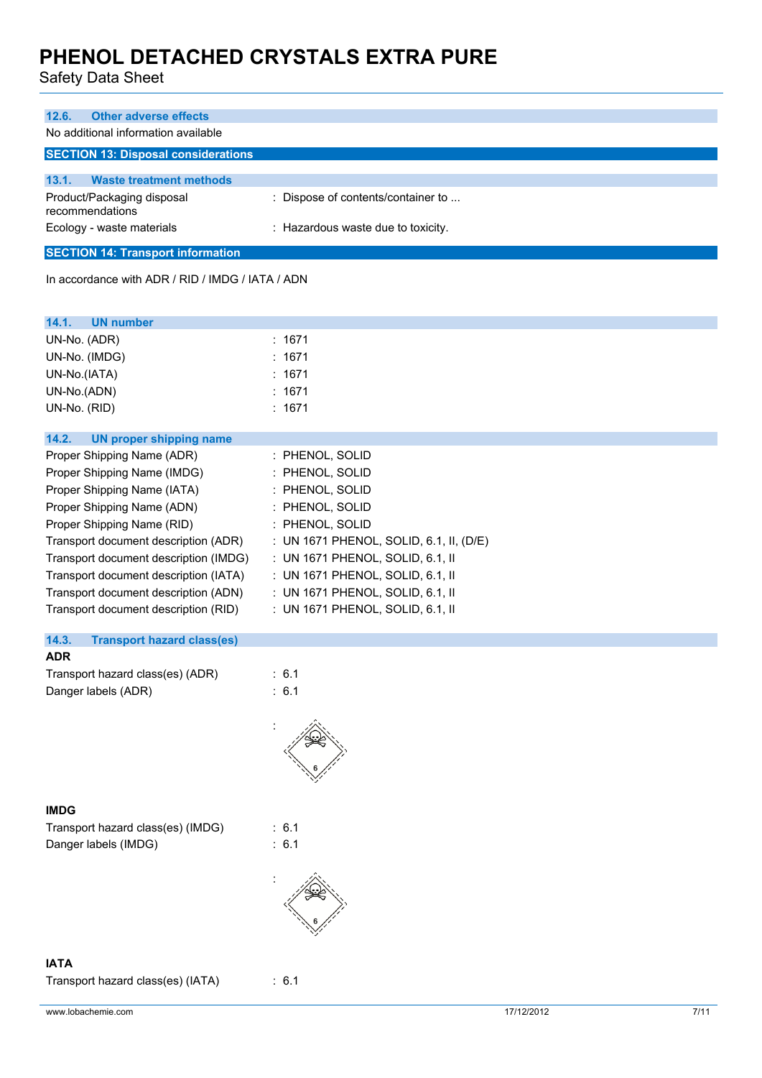| No additional information available<br>13.1.<br><b>Waste treatment methods</b><br>Product/Packaging disposal<br>: Dispose of contents/container to<br>recommendations<br>Ecology - waste materials<br>: Hazardous waste due to toxicity.<br>In accordance with ADR / RID / IMDG / IATA / ADN<br>14.1.<br><b>UN number</b><br>UN-No. (ADR)<br>: 1671<br>UN-No. (IMDG)<br>1671<br>UN-No.(IATA)<br>: 1671<br>UN-No.(ADN)<br>1671<br>UN-No. (RID)<br>: 1671<br>14.2.<br><b>UN proper shipping name</b><br>Proper Shipping Name (ADR)<br>: PHENOL, SOLID<br>: PHENOL, SOLID<br>Proper Shipping Name (IMDG)<br>Proper Shipping Name (IATA)<br>: PHENOL, SOLID<br>Proper Shipping Name (ADN)<br>: PHENOL, SOLID<br>Proper Shipping Name (RID)<br>: PHENOL, SOLID<br>Transport document description (ADR)<br>: UN 1671 PHENOL, SOLID, 6.1, II, (D/E)<br>Transport document description (IMDG)<br>: UN 1671 PHENOL, SOLID, 6.1, II<br>Transport document description (IATA)<br>: UN 1671 PHENOL, SOLID, 6.1, II<br>Transport document description (ADN)<br>: UN 1671 PHENOL, SOLID, 6.1, II<br>Transport document description (RID)<br>: UN 1671 PHENOL, SOLID, 6.1, II<br>14.3.<br><b>Transport hazard class(es)</b><br><b>ADR</b><br>Transport hazard class(es) (ADR)<br>: 6.1<br>: 6.1<br>Danger labels (ADR)<br><b>IMDG</b><br>Transport hazard class(es) (IMDG)<br>: 6.1<br>: 6.1<br>Danger labels (IMDG) | <b>Other adverse effects</b><br>12.6.      |  |
|-------------------------------------------------------------------------------------------------------------------------------------------------------------------------------------------------------------------------------------------------------------------------------------------------------------------------------------------------------------------------------------------------------------------------------------------------------------------------------------------------------------------------------------------------------------------------------------------------------------------------------------------------------------------------------------------------------------------------------------------------------------------------------------------------------------------------------------------------------------------------------------------------------------------------------------------------------------------------------------------------------------------------------------------------------------------------------------------------------------------------------------------------------------------------------------------------------------------------------------------------------------------------------------------------------------------------------------------------------------------------------------------------------|--------------------------------------------|--|
|                                                                                                                                                                                                                                                                                                                                                                                                                                                                                                                                                                                                                                                                                                                                                                                                                                                                                                                                                                                                                                                                                                                                                                                                                                                                                                                                                                                                       |                                            |  |
|                                                                                                                                                                                                                                                                                                                                                                                                                                                                                                                                                                                                                                                                                                                                                                                                                                                                                                                                                                                                                                                                                                                                                                                                                                                                                                                                                                                                       | <b>SECTION 13: Disposal considerations</b> |  |
|                                                                                                                                                                                                                                                                                                                                                                                                                                                                                                                                                                                                                                                                                                                                                                                                                                                                                                                                                                                                                                                                                                                                                                                                                                                                                                                                                                                                       |                                            |  |
|                                                                                                                                                                                                                                                                                                                                                                                                                                                                                                                                                                                                                                                                                                                                                                                                                                                                                                                                                                                                                                                                                                                                                                                                                                                                                                                                                                                                       |                                            |  |
|                                                                                                                                                                                                                                                                                                                                                                                                                                                                                                                                                                                                                                                                                                                                                                                                                                                                                                                                                                                                                                                                                                                                                                                                                                                                                                                                                                                                       |                                            |  |
|                                                                                                                                                                                                                                                                                                                                                                                                                                                                                                                                                                                                                                                                                                                                                                                                                                                                                                                                                                                                                                                                                                                                                                                                                                                                                                                                                                                                       | <b>SECTION 14: Transport information</b>   |  |
|                                                                                                                                                                                                                                                                                                                                                                                                                                                                                                                                                                                                                                                                                                                                                                                                                                                                                                                                                                                                                                                                                                                                                                                                                                                                                                                                                                                                       |                                            |  |
|                                                                                                                                                                                                                                                                                                                                                                                                                                                                                                                                                                                                                                                                                                                                                                                                                                                                                                                                                                                                                                                                                                                                                                                                                                                                                                                                                                                                       |                                            |  |
|                                                                                                                                                                                                                                                                                                                                                                                                                                                                                                                                                                                                                                                                                                                                                                                                                                                                                                                                                                                                                                                                                                                                                                                                                                                                                                                                                                                                       |                                            |  |
|                                                                                                                                                                                                                                                                                                                                                                                                                                                                                                                                                                                                                                                                                                                                                                                                                                                                                                                                                                                                                                                                                                                                                                                                                                                                                                                                                                                                       |                                            |  |
|                                                                                                                                                                                                                                                                                                                                                                                                                                                                                                                                                                                                                                                                                                                                                                                                                                                                                                                                                                                                                                                                                                                                                                                                                                                                                                                                                                                                       |                                            |  |
|                                                                                                                                                                                                                                                                                                                                                                                                                                                                                                                                                                                                                                                                                                                                                                                                                                                                                                                                                                                                                                                                                                                                                                                                                                                                                                                                                                                                       |                                            |  |
|                                                                                                                                                                                                                                                                                                                                                                                                                                                                                                                                                                                                                                                                                                                                                                                                                                                                                                                                                                                                                                                                                                                                                                                                                                                                                                                                                                                                       |                                            |  |
|                                                                                                                                                                                                                                                                                                                                                                                                                                                                                                                                                                                                                                                                                                                                                                                                                                                                                                                                                                                                                                                                                                                                                                                                                                                                                                                                                                                                       |                                            |  |
|                                                                                                                                                                                                                                                                                                                                                                                                                                                                                                                                                                                                                                                                                                                                                                                                                                                                                                                                                                                                                                                                                                                                                                                                                                                                                                                                                                                                       |                                            |  |
|                                                                                                                                                                                                                                                                                                                                                                                                                                                                                                                                                                                                                                                                                                                                                                                                                                                                                                                                                                                                                                                                                                                                                                                                                                                                                                                                                                                                       |                                            |  |
|                                                                                                                                                                                                                                                                                                                                                                                                                                                                                                                                                                                                                                                                                                                                                                                                                                                                                                                                                                                                                                                                                                                                                                                                                                                                                                                                                                                                       |                                            |  |
|                                                                                                                                                                                                                                                                                                                                                                                                                                                                                                                                                                                                                                                                                                                                                                                                                                                                                                                                                                                                                                                                                                                                                                                                                                                                                                                                                                                                       |                                            |  |
|                                                                                                                                                                                                                                                                                                                                                                                                                                                                                                                                                                                                                                                                                                                                                                                                                                                                                                                                                                                                                                                                                                                                                                                                                                                                                                                                                                                                       |                                            |  |
|                                                                                                                                                                                                                                                                                                                                                                                                                                                                                                                                                                                                                                                                                                                                                                                                                                                                                                                                                                                                                                                                                                                                                                                                                                                                                                                                                                                                       |                                            |  |
|                                                                                                                                                                                                                                                                                                                                                                                                                                                                                                                                                                                                                                                                                                                                                                                                                                                                                                                                                                                                                                                                                                                                                                                                                                                                                                                                                                                                       |                                            |  |
|                                                                                                                                                                                                                                                                                                                                                                                                                                                                                                                                                                                                                                                                                                                                                                                                                                                                                                                                                                                                                                                                                                                                                                                                                                                                                                                                                                                                       |                                            |  |
|                                                                                                                                                                                                                                                                                                                                                                                                                                                                                                                                                                                                                                                                                                                                                                                                                                                                                                                                                                                                                                                                                                                                                                                                                                                                                                                                                                                                       |                                            |  |
|                                                                                                                                                                                                                                                                                                                                                                                                                                                                                                                                                                                                                                                                                                                                                                                                                                                                                                                                                                                                                                                                                                                                                                                                                                                                                                                                                                                                       |                                            |  |
|                                                                                                                                                                                                                                                                                                                                                                                                                                                                                                                                                                                                                                                                                                                                                                                                                                                                                                                                                                                                                                                                                                                                                                                                                                                                                                                                                                                                       |                                            |  |
|                                                                                                                                                                                                                                                                                                                                                                                                                                                                                                                                                                                                                                                                                                                                                                                                                                                                                                                                                                                                                                                                                                                                                                                                                                                                                                                                                                                                       |                                            |  |
|                                                                                                                                                                                                                                                                                                                                                                                                                                                                                                                                                                                                                                                                                                                                                                                                                                                                                                                                                                                                                                                                                                                                                                                                                                                                                                                                                                                                       |                                            |  |
|                                                                                                                                                                                                                                                                                                                                                                                                                                                                                                                                                                                                                                                                                                                                                                                                                                                                                                                                                                                                                                                                                                                                                                                                                                                                                                                                                                                                       |                                            |  |
|                                                                                                                                                                                                                                                                                                                                                                                                                                                                                                                                                                                                                                                                                                                                                                                                                                                                                                                                                                                                                                                                                                                                                                                                                                                                                                                                                                                                       |                                            |  |
|                                                                                                                                                                                                                                                                                                                                                                                                                                                                                                                                                                                                                                                                                                                                                                                                                                                                                                                                                                                                                                                                                                                                                                                                                                                                                                                                                                                                       |                                            |  |
|                                                                                                                                                                                                                                                                                                                                                                                                                                                                                                                                                                                                                                                                                                                                                                                                                                                                                                                                                                                                                                                                                                                                                                                                                                                                                                                                                                                                       |                                            |  |
|                                                                                                                                                                                                                                                                                                                                                                                                                                                                                                                                                                                                                                                                                                                                                                                                                                                                                                                                                                                                                                                                                                                                                                                                                                                                                                                                                                                                       |                                            |  |
|                                                                                                                                                                                                                                                                                                                                                                                                                                                                                                                                                                                                                                                                                                                                                                                                                                                                                                                                                                                                                                                                                                                                                                                                                                                                                                                                                                                                       |                                            |  |
|                                                                                                                                                                                                                                                                                                                                                                                                                                                                                                                                                                                                                                                                                                                                                                                                                                                                                                                                                                                                                                                                                                                                                                                                                                                                                                                                                                                                       |                                            |  |
|                                                                                                                                                                                                                                                                                                                                                                                                                                                                                                                                                                                                                                                                                                                                                                                                                                                                                                                                                                                                                                                                                                                                                                                                                                                                                                                                                                                                       |                                            |  |
|                                                                                                                                                                                                                                                                                                                                                                                                                                                                                                                                                                                                                                                                                                                                                                                                                                                                                                                                                                                                                                                                                                                                                                                                                                                                                                                                                                                                       |                                            |  |
|                                                                                                                                                                                                                                                                                                                                                                                                                                                                                                                                                                                                                                                                                                                                                                                                                                                                                                                                                                                                                                                                                                                                                                                                                                                                                                                                                                                                       |                                            |  |
|                                                                                                                                                                                                                                                                                                                                                                                                                                                                                                                                                                                                                                                                                                                                                                                                                                                                                                                                                                                                                                                                                                                                                                                                                                                                                                                                                                                                       |                                            |  |
|                                                                                                                                                                                                                                                                                                                                                                                                                                                                                                                                                                                                                                                                                                                                                                                                                                                                                                                                                                                                                                                                                                                                                                                                                                                                                                                                                                                                       |                                            |  |
|                                                                                                                                                                                                                                                                                                                                                                                                                                                                                                                                                                                                                                                                                                                                                                                                                                                                                                                                                                                                                                                                                                                                                                                                                                                                                                                                                                                                       |                                            |  |
|                                                                                                                                                                                                                                                                                                                                                                                                                                                                                                                                                                                                                                                                                                                                                                                                                                                                                                                                                                                                                                                                                                                                                                                                                                                                                                                                                                                                       |                                            |  |
|                                                                                                                                                                                                                                                                                                                                                                                                                                                                                                                                                                                                                                                                                                                                                                                                                                                                                                                                                                                                                                                                                                                                                                                                                                                                                                                                                                                                       |                                            |  |
| <b>IATA</b>                                                                                                                                                                                                                                                                                                                                                                                                                                                                                                                                                                                                                                                                                                                                                                                                                                                                                                                                                                                                                                                                                                                                                                                                                                                                                                                                                                                           |                                            |  |
| Transport hazard class(es) (IATA)<br>: 6.1                                                                                                                                                                                                                                                                                                                                                                                                                                                                                                                                                                                                                                                                                                                                                                                                                                                                                                                                                                                                                                                                                                                                                                                                                                                                                                                                                            |                                            |  |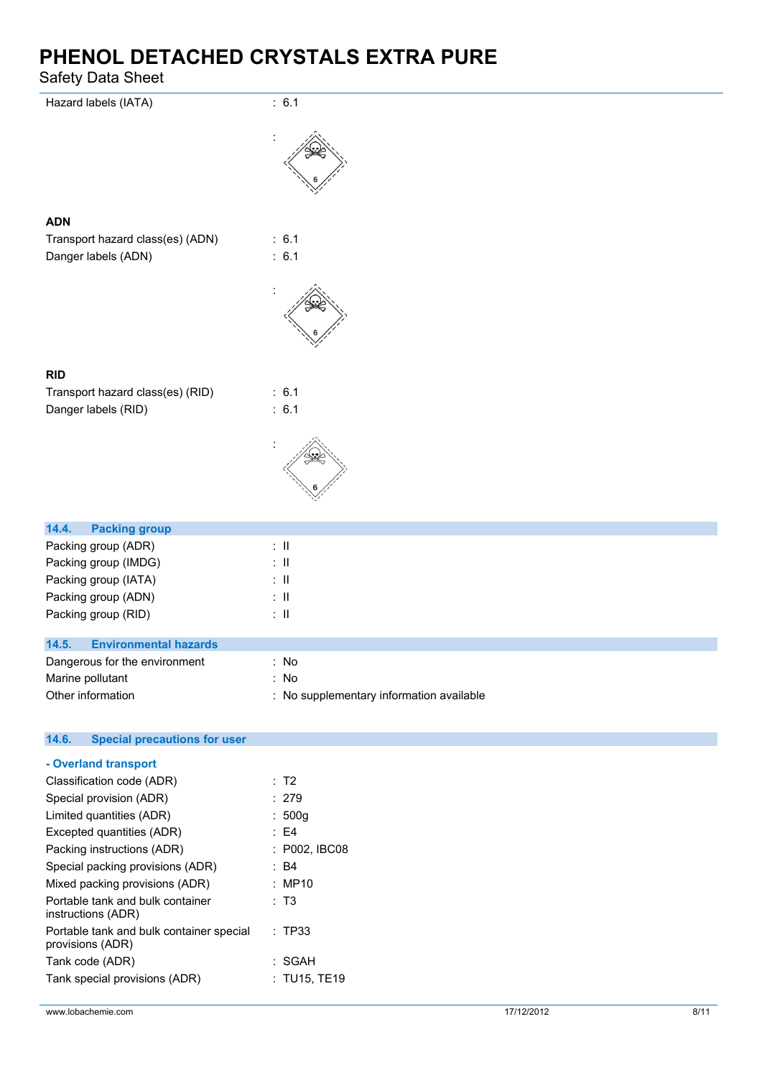| Udicty Data Uncct                            |                                          |
|----------------------------------------------|------------------------------------------|
| Hazard labels (IATA)                         | : 6.1                                    |
|                                              |                                          |
| <b>ADN</b>                                   |                                          |
| Transport hazard class(es) (ADN)             | : 6.1                                    |
| Danger labels (ADN)                          | : 6.1                                    |
|                                              |                                          |
| <b>RID</b>                                   |                                          |
| Transport hazard class(es) (RID)             | : 6.1                                    |
| Danger labels (RID)                          | : 6.1                                    |
|                                              |                                          |
| 14.4.<br><b>Packing group</b>                |                                          |
| Packing group (ADR)                          | $\lesssim 11$                            |
| Packing group (IMDG)                         | $\lesssim 11$                            |
| Packing group (IATA)                         | $\therefore$ II                          |
| Packing group (ADN)                          | $\therefore$ II                          |
| Packing group (RID)                          | $\lesssim 11$                            |
| 14.5.<br><b>Environmental hazards</b>        |                                          |
| Dangerous for the environment                | : $No$                                   |
| Marine pollutant                             | : No                                     |
| Other information                            | : No supplementary information available |
| 14.6.<br><b>Special precautions for user</b> |                                          |
| - Overland transport                         |                                          |

| Classification code (ADR)                                    | : T2          |
|--------------------------------------------------------------|---------------|
| Special provision (ADR)                                      | : 279         |
| Limited quantities (ADR)                                     | : 500g        |
| Excepted quantities (ADR)                                    | : E4          |
| Packing instructions (ADR)                                   | : P002, IBC08 |
| Special packing provisions (ADR)                             | : B4          |
| Mixed packing provisions (ADR)                               | : MP10        |
| Portable tank and bulk container<br>instructions (ADR)       | : T3          |
| Portable tank and bulk container special<br>provisions (ADR) | : TP33        |
| Tank code (ADR)                                              | : SGAH        |
| Tank special provisions (ADR)                                | : TU15, TE19  |
|                                                              |               |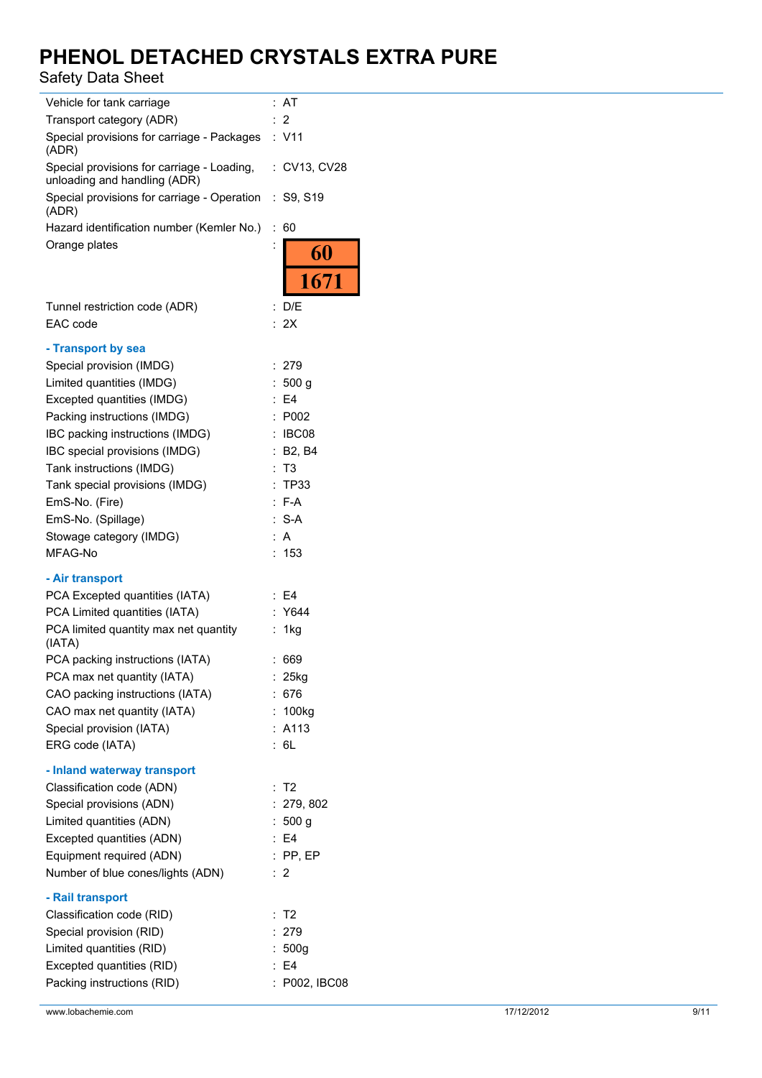| Vehicle for tank carriage                                                  | AT                     |
|----------------------------------------------------------------------------|------------------------|
| Transport category (ADR)                                                   | $\overline{2}$         |
| Special provisions for carriage - Packages<br>(ADR)                        | : V11                  |
| Special provisions for carriage - Loading,<br>unloading and handling (ADR) | : CV13, CV28           |
| Special provisions for carriage - Operation<br>(ADR)                       | : S9, S19              |
| Hazard identification number (Kemler No.)                                  | t.<br>60               |
| Orange plates                                                              | $\vdots$<br>60         |
|                                                                            | 1671                   |
| Tunnel restriction code (ADR)                                              | D/E<br>÷               |
| EAC code                                                                   | : 2X                   |
| - Transport by sea                                                         |                        |
| Special provision (IMDG)                                                   | : 279                  |
| Limited quantities (IMDG)                                                  | 500 <sub>q</sub><br>t. |
| Excepted quantities (IMDG)                                                 | E4                     |
| Packing instructions (IMDG)                                                | P002                   |
| IBC packing instructions (IMDG)                                            | : IBC08                |
| IBC special provisions (IMDG)                                              | : B2, B4               |
| Tank instructions (IMDG)                                                   | Т3                     |
| Tank special provisions (IMDG)                                             | <b>TP33</b><br>t.      |
| EmS-No. (Fire)                                                             | : F-A                  |
| EmS-No. (Spillage)                                                         | $: S-A$                |
| Stowage category (IMDG)                                                    | : A                    |
| MFAG-No                                                                    | 153                    |
| - Air transport                                                            |                        |
| PCA Excepted quantities (IATA)                                             | : E4                   |
| PCA Limited quantities (IATA)                                              | Y644                   |
| PCA limited quantity max net quantity<br>(IATA)                            | 1kg                    |
| PCA packing instructions (IATA)                                            | 669                    |
| PCA max net quantity (IATA)                                                | 25kg<br>÷.             |
| CAO packing instructions (IATA)                                            | : 676                  |
| CAO max net quantity (IATA)                                                | : 100kg                |
| Special provision (IATA)                                                   | : A113                 |
| ERG code (IATA)                                                            | : 6L                   |
| - Inland waterway transport                                                |                        |
| Classification code (ADN)                                                  | : T2                   |
| Special provisions (ADN)                                                   | : 279, 802             |
| Limited quantities (ADN)                                                   | : 500 g                |
| Excepted quantities (ADN)                                                  | E4                     |
| Equipment required (ADN)                                                   | $:$ PP, EP             |
| Number of blue cones/lights (ADN)                                          | : 2                    |
| - Rail transport                                                           |                        |
| Classification code (RID)                                                  | T <sub>2</sub><br>÷    |
| Special provision (RID)                                                    | 279                    |
| Limited quantities (RID)                                                   | : $500g$               |
| Excepted quantities (RID)                                                  | E <sub>4</sub>         |
| Packing instructions (RID)                                                 | P002, IBC08            |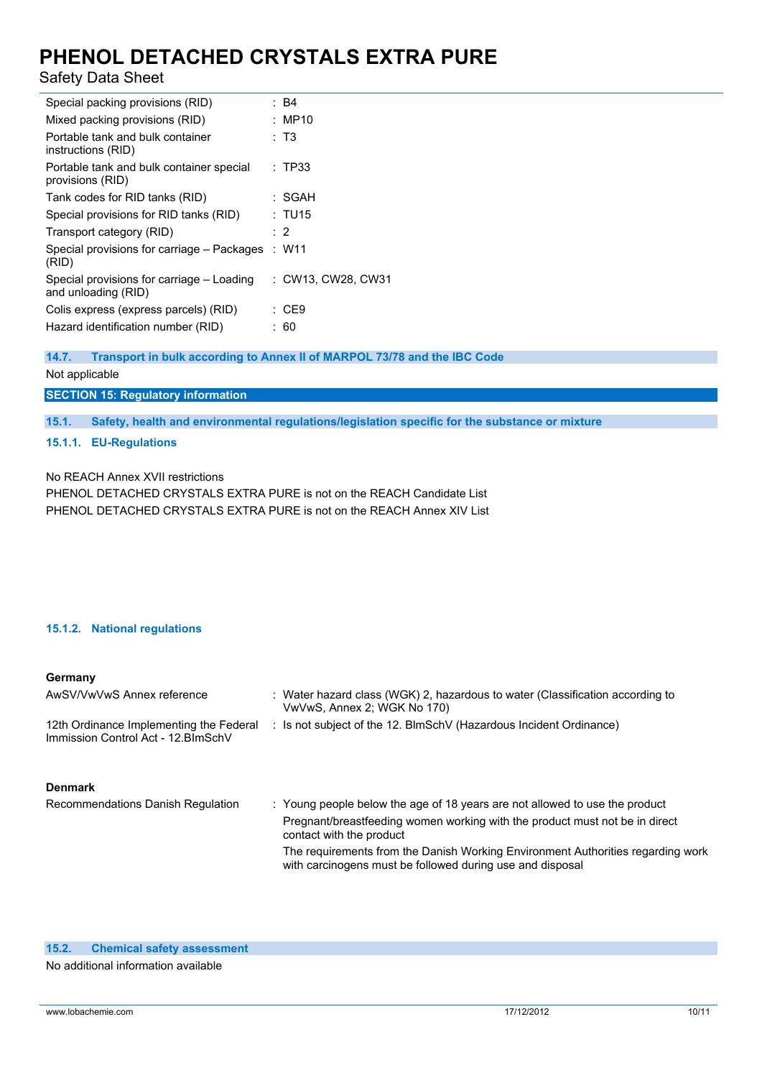## Safety Data Sheet

| Special packing provisions (RID)                                 | : B4               |
|------------------------------------------------------------------|--------------------|
| Mixed packing provisions (RID)                                   | : MP10             |
| Portable tank and bulk container<br>instructions (RID)           | : T3               |
| Portable tank and bulk container special<br>provisions (RID)     | : TP33             |
| Tank codes for RID tanks (RID)                                   | : SGAH             |
| Special provisions for RID tanks (RID)                           | : TU15             |
| Transport category (RID)                                         | $\cdot$ 2          |
| Special provisions for carriage – Packages<br>(RID)              | : W11              |
| Special provisions for carriage – Loading<br>and unloading (RID) | : CW13, CW28, CW31 |
| Colis express (express parcels) (RID)                            | : CE9              |
| Hazard identification number (RID)                               | : 60               |
|                                                                  |                    |

**14.7. Transport in bulk according to Annex II of MARPOL 73/78 and the IBC Code**

### Not applicable

## **SECTION 15: Regulatory information**

**15.1. Safety, health and environmental regulations/legislation specific for the substance or mixture**

### **15.1.1. EU-Regulations**

No REACH Annex XVII restrictions

PHENOL DETACHED CRYSTALS EXTRA PURE is not on the REACH Candidate List PHENOL DETACHED CRYSTALS EXTRA PURE is not on the REACH Annex XIV List

### **15.1.2. National regulations**

#### **Germany**

| AwSV/VwVwS Annex reference                                                     | : Water hazard class (WGK) 2, hazardous to water (Classification according to<br>VwVwS, Annex 2; WGK No 170)                                 |
|--------------------------------------------------------------------------------|----------------------------------------------------------------------------------------------------------------------------------------------|
| 12th Ordinance Implementing the Federal<br>Immission Control Act - 12. BlmSchV | : Is not subject of the 12. BlmSchV (Hazardous Incident Ordinance)                                                                           |
| <b>Denmark</b>                                                                 |                                                                                                                                              |
| Recommendations Danish Regulation                                              | : Young people below the age of 18 years are not allowed to use the product                                                                  |
|                                                                                | Pregnant/breastfeeding women working with the product must not be in direct<br>contact with the product                                      |
|                                                                                | The requirements from the Danish Working Environment Authorities regarding work<br>with carcinogens must be followed during use and disposal |

No additional information available